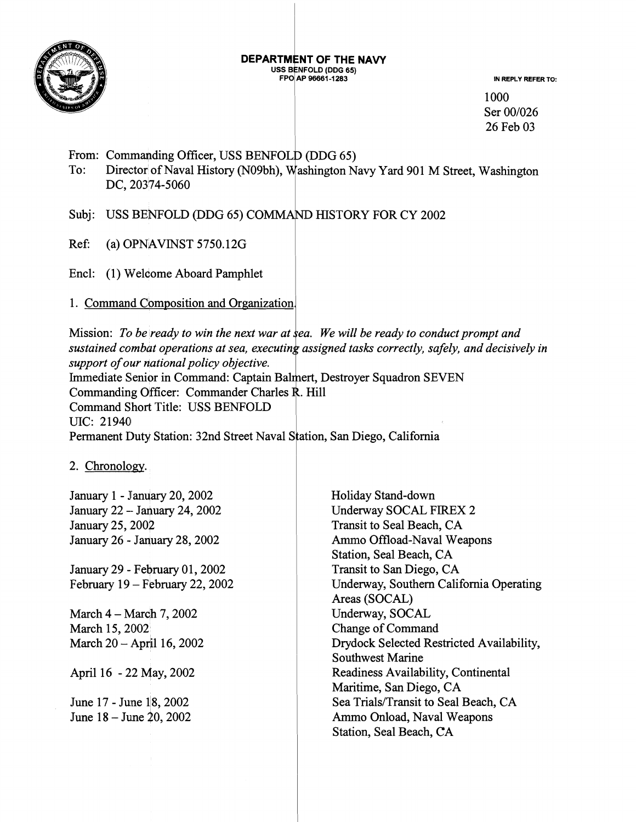

#### **DEPARTMENT OF THE NAVY IFOLD (DDG 65)**

**P 96661 -1 283 IN REPLY REFER TO:** 

1000 Ser 00/026 26 Feb 03

From: Commanding Officer, USS BENFOLD (DDG 65)

To: Director of Naval History (N09bh), Washington Navy Yard 901 M Street, Washington DC, 20374-5060

Subj: USS BENFOLD (DDG 65) COMMAND HISTORY FOR CY 2002

Ref: (a)  $OPNAVINST 5750.12G$ 

Encl: (1) Welcome Aboard Pamphlet

1. Command Composition and Organization.

Mission: To be ready to win the next war at sea. We will be ready to conduct prompt and sustained combat operations at sea, executing assigned tasks correctly, safely, and decisively in support of our national policy objective. Immediate Senior in Command: Captain Balmert, Destroyer Squadron SEVEN Commanding Officer: Commander Charles R. Hill Command Short Title: USS BENFOLD UIC: 21940 Permanent Duty Station: 32nd Street Naval Station, San Diego, California

2. Chronology.

January 1 - January 20, 2002 January 22 -- January 24,2002 January 25, 2002 January 26 - January 28, 2002

January 29 - February 01, 2002 February  $19$  – February 22, 2002

March 4 - March 7, 2002 March 15,2002 March  $20 -$  April 16, 2002

April 16 - 22 May, 2002

June 17 - June 18, 2002 June 18 - June 20,2002 Holiday Stand-down Underway SOCAL FIREX 2 Transit to Seal Beach, CA Ammo Offload-Naval Weapons Station, Seal Beach, CA Transit to San Diego, CA Underway, Southern California Operating Areas (SOCAL) Underway, SOCAL Change of Command Drydock Selected Restricted Availability, Southwest Marine Readiness Availability, Continental Maritime, San Diego, CA Sea Trials/Transit to Seal Beach, CA Ammo Onload, Naval Weapons Station, Seal Beach, CA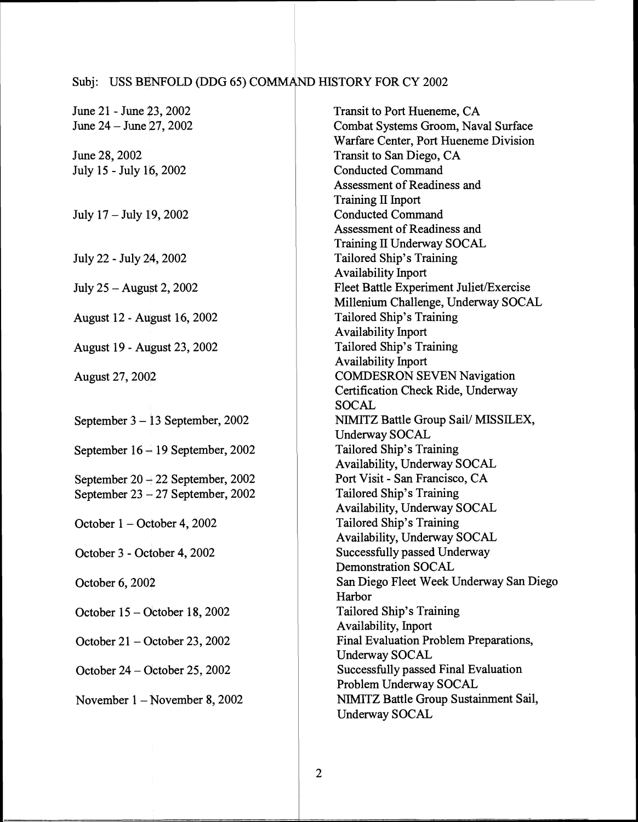# Subj: USS BENFOLD (DDG 65) COMMAND HISTORY FOR CY 2002

| June 21 - June 23, 2002             | Transit to Port Hueneme, CA             |
|-------------------------------------|-----------------------------------------|
| June 24 – June 27, 2002             | Combat Systems Groom, Naval Surface     |
|                                     | Warfare Center, Port Hueneme Division   |
| June 28, 2002                       | Transit to San Diego, CA                |
| July 15 - July 16, 2002             | <b>Conducted Command</b>                |
|                                     | Assessment of Readiness and             |
|                                     | Training II Inport                      |
| July 17 - July 19, 2002             | <b>Conducted Command</b>                |
|                                     | Assessment of Readiness and             |
|                                     | Training II Underway SOCAL              |
| July 22 - July 24, 2002             | Tailored Ship's Training                |
|                                     | Availability Inport                     |
| July 25 – August 2, 2002            | Fleet Battle Experiment Juliet/Exercise |
|                                     | Millenium Challenge, Underway SOCAL     |
| August 12 - August 16, 2002         | Tailored Ship's Training                |
|                                     | <b>Availability Inport</b>              |
| August 19 - August 23, 2002         | Tailored Ship's Training                |
|                                     | Availability Inport                     |
| August 27, 2002                     | <b>COMDESRON SEVEN Navigation</b>       |
|                                     | Certification Check Ride, Underway      |
|                                     | <b>SOCAL</b>                            |
| September $3 - 13$ September, 2002  | NIMITZ Battle Group Sail/ MISSILEX,     |
|                                     | Underway SOCAL                          |
| September $16 - 19$ September, 2002 | Tailored Ship's Training                |
|                                     | Availability, Underway SOCAL            |
| September 20 $+$ 22 September, 2002 | Port Visit - San Francisco, CA          |
| September $23 - 27$ September, 2002 | Tailored Ship's Training                |
|                                     | Availability, Underway SOCAL            |
| October 1 – October 4, 2002         | Tailored Ship's Training                |
|                                     | Availability, Underway SOCAL            |
| October 3 - October 4, 2002         | Successfully passed Underway            |
|                                     | Demonstration SOCAL                     |
| October 6, 2002                     | San Diego Fleet Week Underway San Diego |
|                                     | Harbor                                  |
| October $15 -$ October 18, 2002     | Tailored Ship's Training                |
|                                     | Availability, Inport                    |
| October $21 -$ October 23, 2002     | Final Evaluation Problem Preparations,  |
|                                     | <b>Underway SOCAL</b>                   |
| October $24 -$ October 25, 2002     | Successfully passed Final Evaluation    |
|                                     | Problem Underway SOCAL                  |
| November $1 -$ November 8, 2002     | NIMITZ Battle Group Sustainment Sail,   |
|                                     | Underway SOCAL                          |
|                                     |                                         |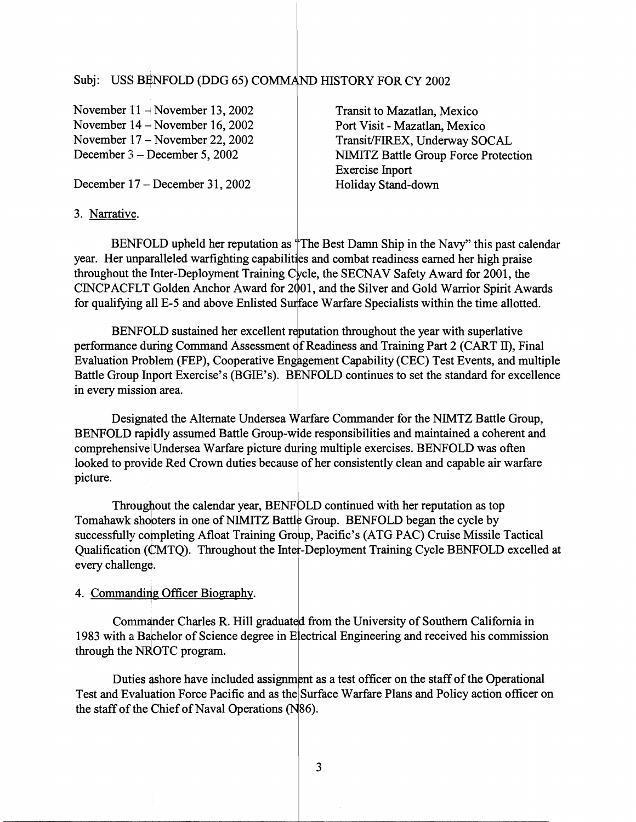## Subj: USS BENFOLD (DDG 65) COMMAND HISTORY FOR CY 2002

November 11 – November 13, 2002 November 14 – November 16, 2002 November 17 – November 22, 2002 December **3** - December 5,2002

Transit to Mazatlan, Mexico Port Visit - Mazatlan, Mexico Transit/FIREX, Underway SOCAL NIMITZ Battle Group Force Protection Exercise hport Holiday Stand-down

December 17 – December 31, 2002

#### **3.** Narrative.

BENFOLD upheld her reputation as "The Best Damn Ship in the Navy" this past calendar year. Her unparalleled warfighting capabilities and combat readiness earned her high praise throughout the Inter-Deployment Training Cycle, the SECNAV Safety Award for 2001, the CINCPACFLT Golden Anchor Award for 2001, and the Silver and Gold Warrior Spirit Awards for qualifying all E-5 and above Enlisted Surface Warfare Specialists within the time allotted.

BENFOLD sustained her excellent reputation throughout the year with superlative performance during Command Assessment of Readiness and Training Part 2 (CART II), Final Evaluation Problem (FEP), Cooperative Engagement Capability (CEC) Test Events, and multiple Battle Group Inport Exercise's (BGIE's). BENFOLD continues to set the standard for excellence in every mission area.

Designated the Alternate Undersea Warfare Commander for the NIMTZ Battle Group, BENFOLD rapidly assumed Battle Group-wide responsibilities and maintained a coherent and comprehensive Undersea Warfare picture during multiple exercises. BENFOLD was often looked to provide Red Crown duties because of her consistently clean and capable air warfare picture.

Throughout the calendar year, BENFOLD continued with her reputation as top Tomahawk shooters in one of NIMITZ Battle Group. BENFOLD began the cycle by successfully completing Afloat Training Group, Pacific's (ATG PAC) Cruise Missile Tactical Qualification (CMTQ). Throughout the Inter-Deployment Training Cycle BENFOLD excelled at every challenge.

#### 4. Commanding Officer Biography.

Commander Charles R. Hill graduated from the University of Southern California in helor of Science degree in Electrical Engineering and received his commission through the NROTC program.

Duties ashore have included assignment as a test officer on the staff of the Operational Test and Evaluation Force Pacific and as the Surface Warfare Plans and Policy action officer on the staff of the Chief of Naval Operations ( $N$ 86).